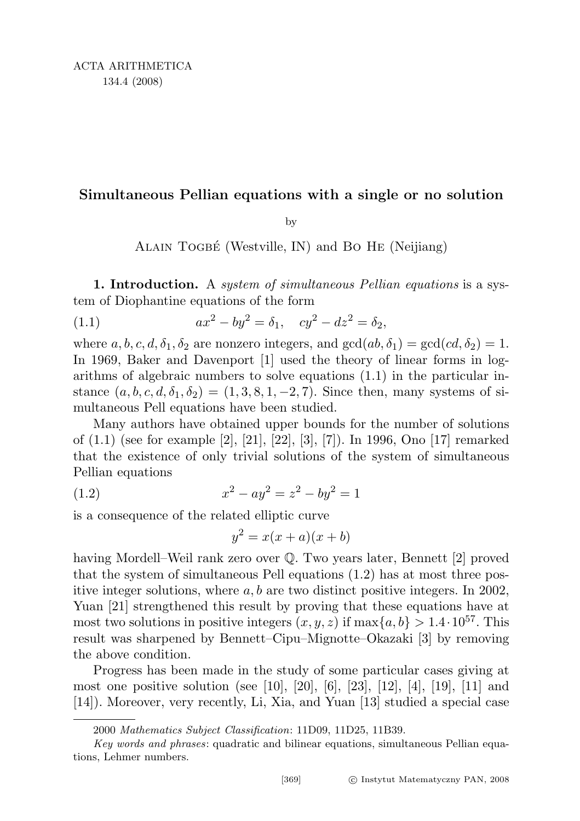## Simultaneous Pellian equations with a single or no solution

by

ALAIN TOGBÉ (Westville, IN) and BO HE (Neijiang)

1. Introduction. A *system of simultaneous Pellian equations* is a system of Diophantine equations of the form

(1.1) 
$$
ax^2 - by^2 = \delta_1, \quad cy^2 - dz^2 = \delta_2,
$$

where  $a, b, c, d, \delta_1, \delta_2$  are nonzero integers, and  $gcd(ab, \delta_1) = gcd(cd, \delta_2) = 1$ . In 1969, Baker and Davenport [1] used the theory of linear forms in logarithms of algebraic numbers to solve equations (1.1) in the particular instance  $(a, b, c, d, \delta_1, \delta_2) = (1, 3, 8, 1, -2, 7)$ . Since then, many systems of simultaneous Pell equations have been studied.

Many authors have obtained upper bounds for the number of solutions of (1.1) (see for example [2], [21], [22], [3], [7]). In 1996, Ono [17] remarked that the existence of only trivial solutions of the system of simultaneous Pellian equations

(1.2) 
$$
x^2 - ay^2 = z^2 - by^2 = 1
$$

is a consequence of the related elliptic curve

$$
y^2 = x(x+a)(x+b)
$$

having Mordell–Weil rank zero over  $\mathbb Q$ . Two years later, Bennett [2] proved that the system of simultaneous Pell equations (1.2) has at most three positive integer solutions, where  $a, b$  are two distinct positive integers. In 2002, Yuan [21] strengthened this result by proving that these equations have at most two solutions in positive integers  $(x, y, z)$  if  $\max\{a, b\} > 1.4 \cdot 10^{57}$ . This result was sharpened by Bennett–Cipu–Mignotte–Okazaki [3] by removing the above condition.

Progress has been made in the study of some particular cases giving at most one positive solution (see [10], [20], [6], [23], [12], [4], [19], [11] and [14]). Moreover, very recently, Li, Xia, and Yuan [13] studied a special case

<sup>2000</sup> Mathematics Subject Classification: 11D09, 11D25, 11B39.

Key words and phrases: quadratic and bilinear equations, simultaneous Pellian equations, Lehmer numbers.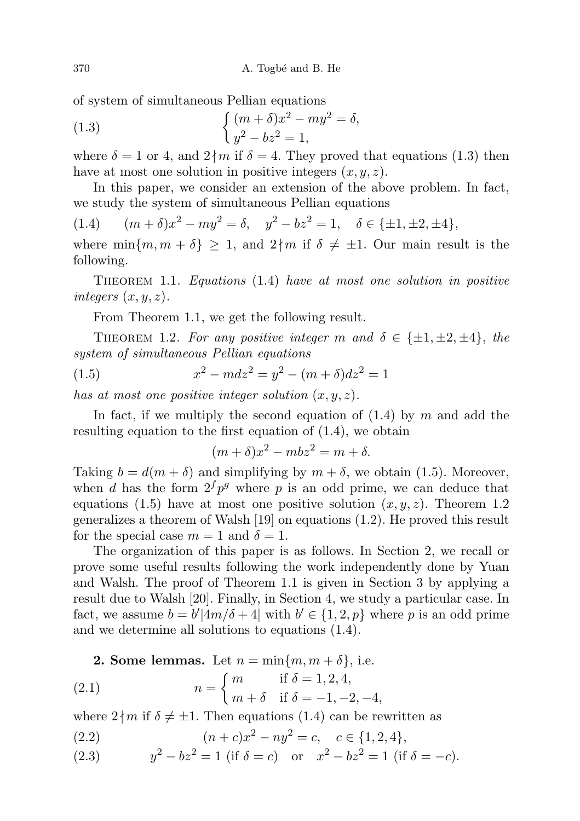of system of simultaneous Pellian equations

(1.3) 
$$
\begin{cases} (m+\delta)x^2 - my^2 = \delta, \\ y^2 - bz^2 = 1, \end{cases}
$$

where  $\delta = 1$  or 4, and  $2 \nmid m$  if  $\delta = 4$ . They proved that equations (1.3) then have at most one solution in positive integers  $(x, y, z)$ .

In this paper, we consider an extension of the above problem. In fact, we study the system of simultaneous Pellian equations

(1.4) 
$$
(m+\delta)x^2 - my^2 = \delta, \quad y^2 - bz^2 = 1, \quad \delta \in \{\pm 1, \pm 2, \pm 4\},
$$

where  $\min\{m, m + \delta\} \geq 1$ , and  $2 \nmid m$  if  $\delta \neq \pm 1$ . Our main result is the following.

THEOREM 1.1. Equations  $(1.4)$  have at most one solution in positive integers  $(x, y, z)$ .

From Theorem 1.1, we get the following result.

THEOREM 1.2. For any positive integer m and  $\delta \in {\pm 1, \pm 2, \pm 4}$ , the system of simultaneous Pellian equations

(1.5) 
$$
x^2 - m dz^2 = y^2 - (m + \delta) dz^2 = 1
$$

has at most one positive integer solution  $(x, y, z)$ .

In fact, if we multiply the second equation of  $(1.4)$  by m and add the resulting equation to the first equation of (1.4), we obtain

$$
(m+\delta)x^2 - mbz^2 = m+\delta.
$$

Taking  $b = d(m + \delta)$  and simplifying by  $m + \delta$ , we obtain (1.5). Moreover, when d has the form  $2^f p^g$  where p is an odd prime, we can deduce that equations (1.5) have at most one positive solution  $(x, y, z)$ . Theorem 1.2 generalizes a theorem of Walsh [19] on equations (1.2). He proved this result for the special case  $m = 1$  and  $\delta = 1$ .

The organization of this paper is as follows. In Section 2, we recall or prove some useful results following the work independently done by Yuan and Walsh. The proof of Theorem 1.1 is given in Section 3 by applying a result due to Walsh [20]. Finally, in Section 4, we study a particular case. In fact, we assume  $b = b'|4m/\delta + 4|$  with  $b' \in \{1, 2, p\}$  where p is an odd prime and we determine all solutions to equations (1.4).

**2. Some lemmas.** Let 
$$
n = \min\{m, m + \delta\}
$$
, i.e.

(2.1) 
$$
n = \begin{cases} m & \text{if } \delta = 1, 2, 4, \\ m + \delta & \text{if } \delta = -1, -2, -4, \end{cases}
$$

where  $2 \nmid m$  if  $\delta \neq \pm 1$ . Then equations (1.4) can be rewritten as

(2.2) 
$$
(n+c)x^2 - ny^2 = c, \quad c \in \{1,2,4\},\
$$

(2.3) 
$$
y^2 - bz^2 = 1
$$
 (if  $\delta = c$ ) or  $x^2 - bz^2 = 1$  (if  $\delta = -c$ ).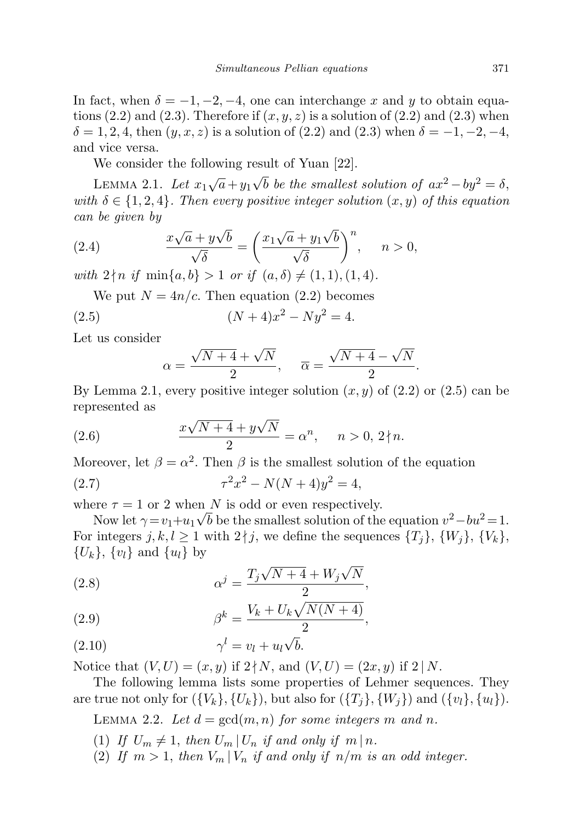In fact, when  $\delta = -1, -2, -4$ , one can interchange x and y to obtain equations  $(2.2)$  and  $(2.3)$ . Therefore if  $(x, y, z)$  is a solution of  $(2.2)$  and  $(2.3)$  when  $\delta = 1, 2, 4$ , then  $(y, x, z)$  is a solution of  $(2.2)$  and  $(2.3)$  when  $\delta = -1, -2, -4,$ and vice versa.

We consider the following result of Yuan [22].

LEMMA 2.1. Let  $x_1\sqrt{a} + y_1$  $\sqrt{b}$  be the smallest solution of  $ax^2 - by^2 = \delta$ , with  $\delta \in \{1, 2, 4\}$ . Then every positive integer solution  $(x, y)$  of this equation can be given by √ √

(2.4) 
$$
\frac{x\sqrt{a} + y\sqrt{b}}{\sqrt{\delta}} = \left(\frac{x_1\sqrt{a} + y_1\sqrt{b}}{\sqrt{\delta}}\right)^n, \quad n > 0,
$$

with  $2 \nmid n$  if  $\min\{a, b\} > 1$  or if  $(a, \delta) \neq (1, 1), (1, 4)$ .

We put 
$$
N = 4n/c
$$
. Then equation (2.2) becomes

(2.5) 
$$
(N+4)x^2 - Ny^2 = 4.
$$

Let us consider

$$
\alpha = \frac{\sqrt{N+4} + \sqrt{N}}{2}, \quad \overline{\alpha} = \frac{\sqrt{N+4} - \sqrt{N}}{2}.
$$

By Lemma 2.1, every positive integer solution  $(x, y)$  of  $(2.2)$  or  $(2.5)$  can be represented as √

(2.6) 
$$
\frac{x\sqrt{N+4} + y\sqrt{N}}{2} = \alpha^n, \quad n > 0, 2 \nmid n.
$$

Moreover, let  $\beta = \alpha^2$ . Then  $\beta$  is the smallest solution of the equation

(2.7) 
$$
\tau^2 x^2 - N(N+4)y^2 = 4,
$$

where  $\tau = 1$  or 2 when N is odd or even respectively.

Now let  $\gamma = v_1 + u_1 \sqrt{b}$  be the smallest solution of the equation  $v^2 - bu^2 = 1$ . For integers  $j, k, l \geq 1$  with  $2 \nmid j$ , we define the sequences  $\{T_i\}, \{W_i\}, \{V_k\},$  $\{U_k\}, \{v_l\} \text{ and } \{u_l\} \text{ by}$ 

(2.8) 
$$
\alpha^{j} = \frac{T_{j}\sqrt{N+4} + W_{j}\sqrt{N}}{2},
$$

$$
\beta^k = \frac{V_k + U_k \sqrt{N(N+4)}}{2},
$$

$$
\gamma^l = v_l + u_l \sqrt{b}.
$$

Notice that  $(V, U) = (x, y)$  if  $2 \nmid N$ , and  $(V, U) = (2x, y)$  if  $2 \nmid N$ .

The following lemma lists some properties of Lehmer sequences. They are true not only for  $({V_k}, {U_k})$ , but also for  $({T_i}, {W_i})$  and  $({v_l}, {u_l})$ .

LEMMA 2.2. Let  $d = \gcd(m, n)$  for some integers m and n.

- (1) If  $U_m \neq 1$ , then  $U_m | U_n$  if and only if  $m | n$ .
- (2) If  $m > 1$ , then  $V_m | V_n$  if and only if  $n/m$  is an odd integer.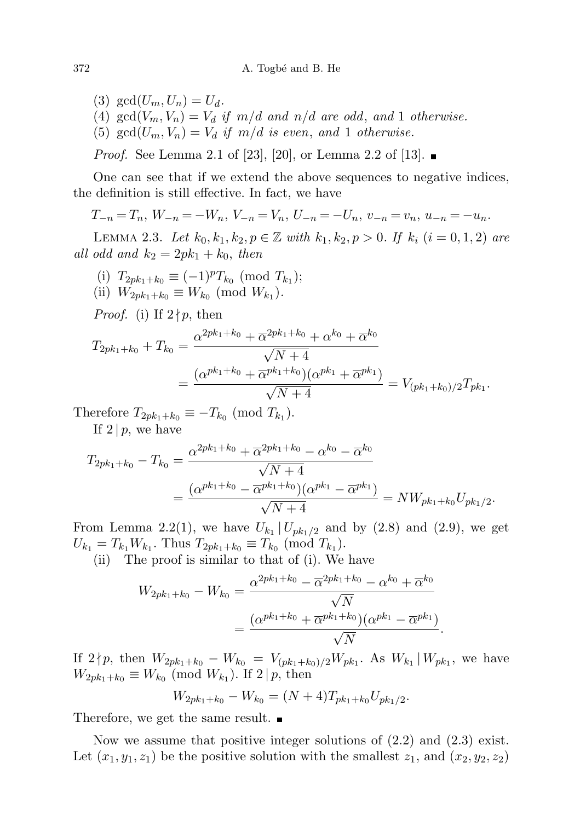(3)  $gcd(U_m, U_n) = U_d$ .

- (4)  $gcd(V_m, V_n) = V_d$  if  $m/d$  and  $n/d$  are odd, and 1 otherwise.
- (5)  $gcd(U_m, V_n) = V_d$  if  $m/d$  is even, and 1 otherwise.

*Proof.* See Lemma 2.1 of [23], [20], or Lemma 2.2 of [13].

One can see that if we extend the above sequences to negative indices, the definition is still effective. In fact, we have

$$
T_{-n} = T_n, W_{-n} = -W_n, V_{-n} = V_n, U_{-n} = -U_n, v_{-n} = v_n, u_{-n} = -u_n.
$$

LEMMA 2.3. Let  $k_0, k_1, k_2, p \in \mathbb{Z}$  with  $k_1, k_2, p > 0$ . If  $k_i$   $(i = 0, 1, 2)$  are all odd and  $k_2 = 2pk_1 + k_0$ , then

- (i)  $T_{2pk_1+k_0} \equiv (-1)^p T_{k_0} \pmod{T_{k_1}}$ ;
- (ii)  $W_{2pk_1+k_0} \equiv W_{k_0} \pmod{W_{k_1}}$ .

*Proof.* (i) If  $2 \nmid p$ , then

$$
T_{2pk_1+k_0} + T_{k_0} = \frac{\alpha^{2pk_1+k_0} + \overline{\alpha}^{2pk_1+k_0} + \alpha^{k_0} + \overline{\alpha}^{k_0}}{\sqrt{N+4}}
$$
  
= 
$$
\frac{(\alpha^{pk_1+k_0} + \overline{\alpha}^{pk_1+k_0})(\alpha^{pk_1} + \overline{\alpha}^{pk_1})}{\sqrt{N+4}} = V_{(pk_1+k_0)/2}T_{pk_1}.
$$

Therefore  $T_{2pk_1+k_0} \equiv -T_{k_0} \pmod{T_{k_1}}$ .

If  $2 | p$ , we have

$$
T_{2pk_1+k_0} - T_{k_0} = \frac{\alpha^{2pk_1+k_0} + \overline{\alpha}^{2pk_1+k_0} - \alpha^{k_0} - \overline{\alpha}^{k_0}}{\sqrt{N+4}}
$$
  
= 
$$
\frac{(\alpha^{pk_1+k_0} - \overline{\alpha}^{pk_1+k_0})(\alpha^{pk_1} - \overline{\alpha}^{pk_1})}{\sqrt{N+4}} = NW_{pk_1+k_0}U_{pk_1/2}.
$$

From Lemma 2.2(1), we have  $U_{k_1} | U_{pk_1/2}$  and by (2.8) and (2.9), we get  $U_{k_1} = T_{k_1} W_{k_1}$ . Thus  $T_{2pk_1+k_0} \equiv T_{k_0} \pmod{T_{k_1}}$ .

(ii) The proof is similar to that of (i). We have

$$
W_{2pk_1+k_0} - W_{k_0} = \frac{\alpha^{2pk_1+k_0} - \overline{\alpha}^{2pk_1+k_0} - \alpha^{k_0} + \overline{\alpha}^{k_0}}{\sqrt{N}}
$$
  
= 
$$
\frac{(\alpha^{pk_1+k_0} + \overline{\alpha}^{pk_1+k_0})(\alpha^{pk_1} - \overline{\alpha}^{pk_1})}{\sqrt{N}}.
$$

If  $2 \nmid p$ , then  $W_{2pk_1+k_0} - W_{k_0} = V_{(pk_1+k_0)/2} W_{pk_1}$ . As  $W_{k_1} | W_{pk_1}$ , we have  $W_{2pk_1+k_0} \equiv W_{k_0} \pmod{W_{k_1}}$ . If  $2|p$ , then

$$
W_{2pk_1+k_0} - W_{k_0} = (N+4)T_{pk_1+k_0}U_{pk_1/2}.
$$

Therefore, we get the same result.

Now we assume that positive integer solutions of  $(2.2)$  and  $(2.3)$  exist. Let  $(x_1, y_1, z_1)$  be the positive solution with the smallest  $z_1$ , and  $(x_2, y_2, z_2)$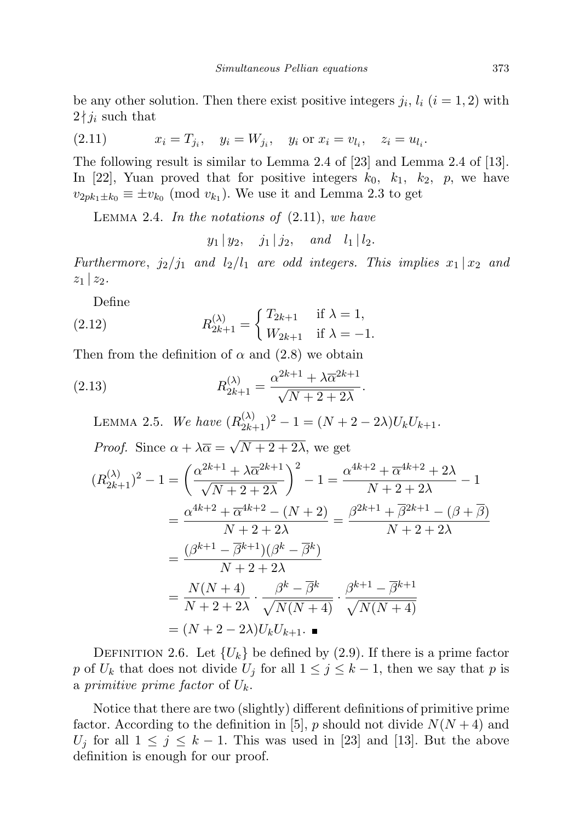be any other solution. Then there exist positive integers  $j_i$ ,  $l_i$   $(i = 1, 2)$  with  $2 \nmid j_i$  such that

(2.11) 
$$
x_i = T_{j_i}, \quad y_i = W_{j_i}, \quad y_i \text{ or } x_i = v_{l_i}, \quad z_i = u_{l_i}.
$$

The following result is similar to Lemma 2.4 of [23] and Lemma 2.4 of [13]. In [22], Yuan proved that for positive integers  $k_0$ ,  $k_1$ ,  $k_2$ ,  $p$ , we have  $v_{2pk_1\pm k_0} \equiv \pm v_{k_0} \pmod{v_{k_1}}$ . We use it and Lemma 2.3 to get

LEMMA 2.4. In the notations of  $(2.11)$ , we have

 $y_1 | y_2, j_1 | j_2, and l_1 | l_2.$ 

Furthermore,  $j_2/j_1$  and  $l_2/l_1$  are odd integers. This implies  $x_1 | x_2$  and  $z_1 | z_2$ .

Define

(2.12) 
$$
R_{2k+1}^{(\lambda)} = \begin{cases} T_{2k+1} & \text{if } \lambda = 1, \\ W_{2k+1} & \text{if } \lambda = -1. \end{cases}
$$

Then from the definition of  $\alpha$  and (2.8) we obtain

(2.13) 
$$
R_{2k+1}^{(\lambda)} = \frac{\alpha^{2k+1} + \lambda \overline{\alpha}^{2k+1}}{\sqrt{N+2+2\lambda}}.
$$

LEMMA 2.5. We have  $(R_{2k+1}^{(\lambda)})^2 - 1 = (N + 2 - 2\lambda)U_kU_{k+1}$ . *Proof.* Since  $\alpha + \lambda \overline{\alpha} =$ √  $N+2+2\lambda$ , we get

$$
(R_{2k+1}^{(\lambda)})^2 - 1 = \left(\frac{\alpha^{2k+1} + \lambda \overline{\alpha}^{2k+1}}{\sqrt{N+2+2\lambda}}\right)^2 - 1 = \frac{\alpha^{4k+2} + \overline{\alpha}^{4k+2} + 2\lambda}{N+2+2\lambda} - 1
$$
  

$$
= \frac{\alpha^{4k+2} + \overline{\alpha}^{4k+2} - (N+2)}{N+2+2\lambda} = \frac{\beta^{2k+1} + \overline{\beta}^{2k+1} - (\beta + \overline{\beta})}{N+2+2\lambda}
$$
  

$$
= \frac{(\beta^{k+1} - \overline{\beta}^{k+1})(\beta^k - \overline{\beta}^k)}{N+2+2\lambda}
$$
  

$$
= \frac{N(N+4)}{N+2+2\lambda} \cdot \frac{\beta^k - \overline{\beta}^k}{\sqrt{N(N+4)}} \cdot \frac{\beta^{k+1} - \overline{\beta}^{k+1}}{\sqrt{N(N+4)}}
$$
  

$$
= (N+2-2\lambda)U_k U_{k+1}.
$$

DEFINITION 2.6. Let  ${U_k}$  be defined by (2.9). If there is a prime factor p of  $U_k$  that does not divide  $U_j$  for all  $1 \leq j \leq k-1$ , then we say that p is a primitive prime factor of  $U_k$ .

Notice that there are two (slightly) different definitions of primitive prime factor. According to the definition in [5], p should not divide  $N(N+4)$  and  $U_j$  for all  $1 \leq j \leq k-1$ . This was used in [23] and [13]. But the above definition is enough for our proof.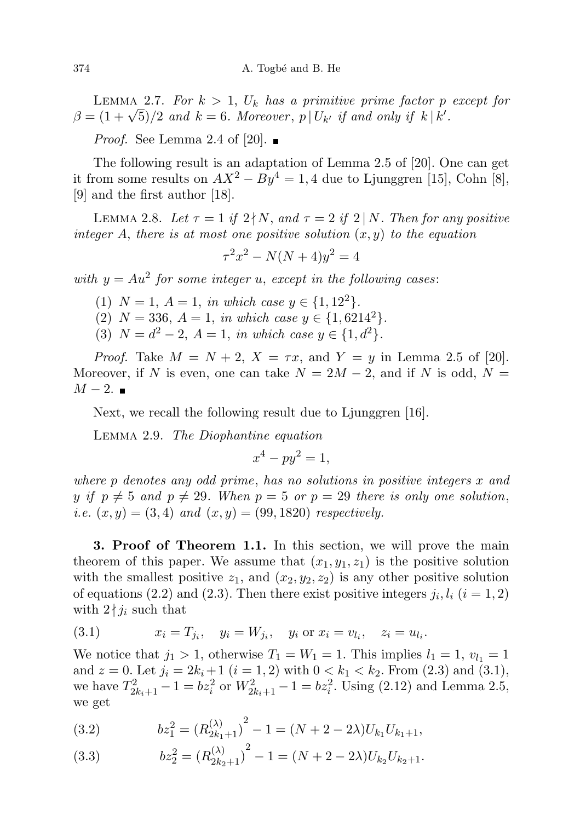LEMMA 2.7. For  $k > 1$ ,  $U_k$  has a primitive prime factor p except for LEMMA 2.1. For  $\kappa > 1$ ,  $U_k$  has a primitive prime jactor p<br>  $\beta = (1 + \sqrt{5})/2$  and  $k = 6$ . Moreover,  $p | U_{k'}$  if and only if  $k | k'$ .

*Proof.* See Lemma 2.4 of [20].  $\blacksquare$ 

The following result is an adaptation of Lemma 2.5 of [20]. One can get it from some results on  $AX^2 - By^4 = 1, 4$  due to Ljunggren [15], Cohn [8], [9] and the first author [18].

LEMMA 2.8. Let  $\tau = 1$  if  $2 \nmid N$ , and  $\tau = 2$  if  $2 \mid N$ . Then for any positive integer A, there is at most one positive solution  $(x, y)$  to the equation

$$
\tau^2 x^2 - N(N+4)y^2 = 4
$$

with  $y = Au^2$  for some integer u, except in the following cases:

- (1)  $N = 1$ ,  $A = 1$ , in which case  $y \in \{1, 12^2\}$ .
- (2)  $N = 336$ ,  $A = 1$ , in which case  $y \in \{1, 6214^2\}$ .
- (3)  $N = d^2 2$ ,  $A = 1$ , in which case  $y \in \{1, d^2\}$ .

*Proof.* Take  $M = N + 2$ ,  $X = \tau x$ , and  $Y = y$  in Lemma 2.5 of [20]. Moreover, if N is even, one can take  $N = 2M - 2$ , and if N is odd,  $N =$  $M-2.$   $\blacksquare$ 

Next, we recall the following result due to Ljunggren [16].

Lemma 2.9. The Diophantine equation

$$
x^4 - py^2 = 1,
$$

where p denotes any odd prime, has no solutions in positive integers x and y if  $p \neq 5$  and  $p \neq 29$ . When  $p = 5$  or  $p = 29$  there is only one solution, *i.e.*  $(x, y) = (3, 4)$  and  $(x, y) = (99, 1820)$  respectively.

3. Proof of Theorem 1.1. In this section, we will prove the main theorem of this paper. We assume that  $(x_1, y_1, z_1)$  is the positive solution with the smallest positive  $z_1$ , and  $(x_2, y_2, z_2)$  is any other positive solution of equations (2.2) and (2.3). Then there exist positive integers  $j_i, l_i$  ( $i = 1, 2$ ) with  $2 \nmid j_i$  such that

(3.1) 
$$
x_i = T_{j_i}, \quad y_i = W_{j_i}, \quad y_i \text{ or } x_i = v_{l_i}, \quad z_i = u_{l_i}.
$$

We notice that  $j_1 > 1$ , otherwise  $T_1 = W_1 = 1$ . This implies  $l_1 = 1$ ,  $v_{l_1} = 1$ and  $z = 0$ . Let  $j_i = 2k_i + 1$   $(i = 1, 2)$  with  $0 < k_1 < k_2$ . From  $(2.3)$  and  $(3.1)$ , we have  $T_{2k_i+1}^2 - 1 = bz_i^2$  or  $W_{2k_i+1}^2 - 1 = bz_i^2$ . Using (2.12) and Lemma 2.5, we get

(3.2) 
$$
bz_1^2 = (R_{2k_1+1}^{(\lambda)})^2 - 1 = (N + 2 - 2\lambda)U_{k_1}U_{k_1+1},
$$

(3.3) 
$$
bz_2^2 = (R_{2k_2+1}^{(\lambda)})^2 - 1 = (N + 2 - 2\lambda)U_{k_2}U_{k_2+1}.
$$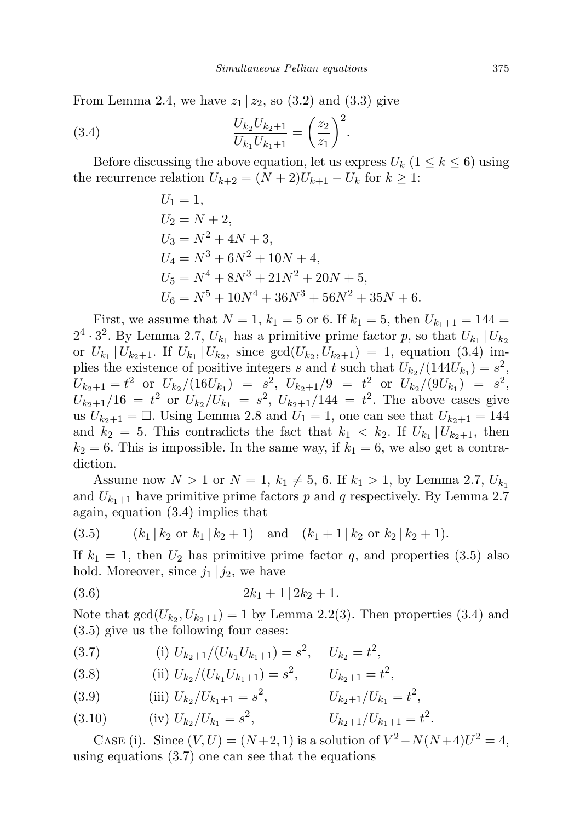From Lemma 2.4, we have  $z_1 | z_2$ , so (3.2) and (3.3) give

(3.4) 
$$
\frac{U_{k_2}U_{k_2+1}}{U_{k_1}U_{k_1+1}} = \left(\frac{z_2}{z_1}\right)^2.
$$

Before discussing the above equation, let us express  $U_k$   $(1 \leq k \leq 6)$  using the recurrence relation  $U_{k+2} = (N+2)U_{k+1} - U_k$  for  $k \geq 1$ :

$$
U_1 = 1,
$$
  
\n
$$
U_2 = N + 2,
$$
  
\n
$$
U_3 = N^2 + 4N + 3,
$$
  
\n
$$
U_4 = N^3 + 6N^2 + 10N + 4,
$$
  
\n
$$
U_5 = N^4 + 8N^3 + 21N^2 + 20N + 5,
$$
  
\n
$$
U_6 = N^5 + 10N^4 + 36N^3 + 56N^2 + 35N + 6.
$$

First, we assume that  $N = 1$ ,  $k_1 = 5$  or 6. If  $k_1 = 5$ , then  $U_{k_1+1} = 144 =$  $2^4 \cdot 3^2$ . By Lemma 2.7,  $U_{k_1}$  has a primitive prime factor p, so that  $U_{k_1} | U_{k_2}$ or  $U_{k_1} | U_{k_2+1}$ . If  $U_{k_1} | U_{k_2}$ , since  $gcd(U_{k_2}, U_{k_2+1}) = 1$ , equation (3.4) implies the existence of positive integers s and t such that  $U_{k_2}/(144U_{k_1}) = s^2$ ,  $U_{k_2+1} = t^2$  or  $U_{k_2}/(16U_{k_1}) = s^2$ ,  $U_{k_2+1}/9 = t^2$  or  $U_{k_2}/(9U_{k_1}) = s^2$ ,  $U_{k_2+1}/16 = t^2$  or  $U_{k_2}/U_{k_1} = s^2$ ,  $U_{k_2+1}/144 = t^2$ . The above cases give us  $U_{k_2+1} = \square$ . Using Lemma 2.8 and  $U_1 = 1$ , one can see that  $U_{k_2+1} = 144$ and  $k_2 = 5$ . This contradicts the fact that  $k_1 < k_2$ . If  $U_{k_1} | U_{k_2+1}$ , then  $k_2 = 6$ . This is impossible. In the same way, if  $k_1 = 6$ , we also get a contradiction.

Assume now  $N > 1$  or  $N = 1, k_1 \neq 5, 6$ . If  $k_1 > 1$ , by Lemma 2.7,  $U_{k_1}$ and  $U_{k_1+1}$  have primitive prime factors p and q respectively. By Lemma 2.7 again, equation (3.4) implies that

(3.5) 
$$
(k_1 | k_2 \text{ or } k_1 | k_2 + 1)
$$
 and  $(k_1 + 1 | k_2 \text{ or } k_2 | k_2 + 1)$ .

If  $k_1 = 1$ , then  $U_2$  has primitive prime factor q, and properties (3.5) also hold. Moreover, since  $j_1 | j_2$ , we have

$$
(3.6) \t\t 2k_1 + 1 | 2k_2 + 1.
$$

Note that  $gcd(U_{k_2}, U_{k_2+1}) = 1$  by Lemma 2.2(3). Then properties (3.4) and (3.5) give us the following four cases:

(3.7) (i) 
$$
U_{k_2+1}/(U_{k_1}U_{k_1+1}) = s^2
$$
,  $U_{k_2} = t^2$ ,

(3.8) (ii) 
$$
U_{k_2}/(U_{k_1}U_{k_1+1}) = s^2
$$
,  $U_{k_2+1} = t^2$ ,

(3.9) (iii) 
$$
U_{k_2}/U_{k_1+1} = s^2
$$
,  $U_{k_2+1}/U_{k_1} = t^2$ ,

(3.10) (iv) 
$$
U_{k_2}/U_{k_1} = s^2
$$
,  $U_{k_2+1}/U_{k_1+1} = t^2$ .

CASE (i). Since  $(V, U) = (N+2, 1)$  is a solution of  $V^2 - N(N+4)U^2 = 4$ , using equations  $(3.7)$  one can see that the equations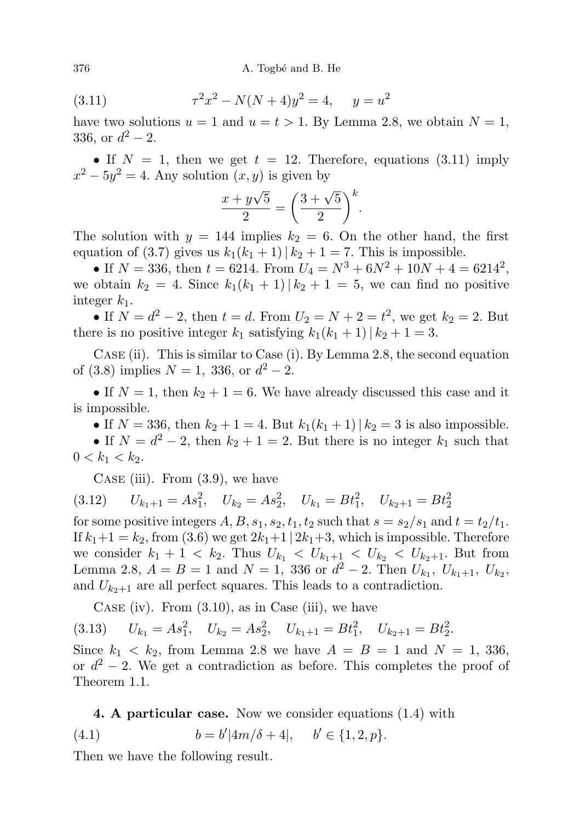(3.11) 
$$
\tau^2 x^2 - N(N+4)y^2 = 4, \quad y = u^2
$$

have two solutions  $u = 1$  and  $u = t > 1$ . By Lemma 2.8, we obtain  $N = 1$ , 336, or  $d^2 - 2$ .

• If  $N = 1$ , then we get  $t = 12$ . Therefore, equations (3.11) imply  $x^2 - 5y^2 = 4$ . Any solution  $(x, y)$  is given by

$$
\frac{x+y\sqrt{5}}{2} = \left(\frac{3+\sqrt{5}}{2}\right)^k.
$$

The solution with  $y = 144$  implies  $k_2 = 6$ . On the other hand, the first equation of (3.7) gives us  $k_1(k_1 + 1) | k_2 + 1 = 7$ . This is impossible.

• If  $N = 336$ , then  $t = 6214$ . From  $U_4 = N^3 + 6N^2 + 10N + 4 = 6214^2$ , we obtain  $k_2 = 4$ . Since  $k_1(k_1 + 1) | k_2 + 1 = 5$ , we can find no positive integer  $k_1$ .

• If  $N = d^2 - 2$ , then  $t = d$ . From  $U_2 = N + 2 = t^2$ , we get  $k_2 = 2$ . But there is no positive integer  $k_1$  satisfying  $k_1(k_1 + 1) | k_2 + 1 = 3$ .

Case (ii). This is similar to Case (i). By Lemma 2.8, the second equation of (3.8) implies  $N = 1$ , 336, or  $d^2 - 2$ .

• If  $N = 1$ , then  $k_2 + 1 = 6$ . We have already discussed this case and it is impossible.

• If  $N = 336$ , then  $k_2 + 1 = 4$ . But  $k_1(k_1 + 1) | k_2 = 3$  is also impossible. • If  $N = d^2 - 2$ , then  $k_2 + 1 = 2$ . But there is no integer  $k_1$  such that  $0 < k_1 < k_2$ .

CASE (iii). From  $(3.9)$ , we have

 $U_{k_1+1} = As_1^2$ ,  $U_{k_2} = As_2^2$ ,  $U_{k_1} = Bt_1^2$ ,  $U_{k_2+1} = Bt_2^2$ (3.12)

for some positive integers  $A, B, s_1, s_2, t_1, t_2$  such that  $s = s_2/s_1$  and  $t = t_2/t_1$ . If  $k_1+1 = k_2$ , from (3.6) we get  $2k_1+1 \mid 2k_1+3$ , which is impossible. Therefore we consider  $k_1 + 1 < k_2$ . Thus  $U_{k_1} < U_{k_1+1} < U_{k_2} < U_{k_2+1}$ . But from Lemma 2.8,  $A = B = 1$  and  $N = 1$ , 336 or  $d^2 - 2$ . Then  $U_{k_1}, U_{k_1+1}, U_{k_2}$ , and  $U_{k_2+1}$  are all perfect squares. This leads to a contradiction.

CASE (iv). From  $(3.10)$ , as in Case (iii), we have

$$
(3.13) \tU_{k_1} = As_1^2, \tU_{k_2} = As_2^2, \tU_{k_1+1} = Bt_1^2, \tU_{k_2+1} = Bt_2^2.
$$

Since  $k_1 \leq k_2$ , from Lemma 2.8 we have  $A = B = 1$  and  $N = 1, 336$ , or  $d^2 - 2$ . We get a contradiction as before. This completes the proof of Theorem 1.1.

4. A particular case. Now we consider equations (1.4) with

(4.1) 
$$
b = b'|4m/\delta + 4|, \quad b' \in \{1, 2, p\}.
$$

Then we have the following result.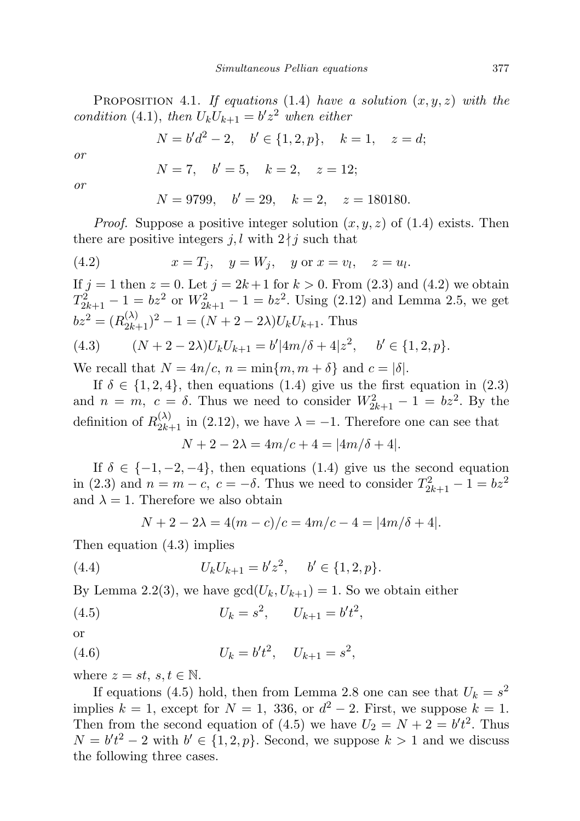PROPOSITION 4.1. If equations (1.4) have a solution  $(x, y, z)$  with the condition (4.1), then  $U_k U_{k+1} = b' z^2$  when either

$$
N = b'd^2 - 2, \quad b' \in \{1, 2, p\}, \quad k = 1, \quad z = d;
$$

or

$$
N = 7, \quad b' = 5, \quad k = 2, \quad z = 12;
$$

or

$$
N = 9799, \quad b' = 29, \quad k = 2, \quad z = 180180.
$$

*Proof.* Suppose a positive integer solution  $(x, y, z)$  of  $(1.4)$  exists. Then there are positive integers j, l with  $2 \nmid j$  such that

(4.2) 
$$
x = T_j, \quad y = W_j, \quad y \text{ or } x = v_l, \quad z = u_l.
$$

If  $j = 1$  then  $z = 0$ . Let  $j = 2k + 1$  for  $k > 0$ . From (2.3) and (4.2) we obtain  $T_{2k+1}^2 - 1 = bz^2$  or  $W_{2k+1}^2 - 1 = bz^2$ . Using (2.12) and Lemma 2.5, we get  $bz^2 = (R_{2k+1}^{(\lambda)})^2 - 1 = (N + 2 - 2\lambda)U_kU_{k+1}$ . Thus (4.3)  $(N+2-2\lambda)U_kU_{k+1} = b'|4m/\delta + 4|z^2, \quad b' \in \{1,2,p\}.$ 

We recall that  $N = 4n/c$ ,  $n = \min\{m, m + \delta\}$  and  $c = |\delta|$ .

If  $\delta \in \{1, 2, 4\}$ , then equations (1.4) give us the first equation in (2.3) and  $n = m$ ,  $c = \delta$ . Thus we need to consider  $W_{2k+1}^2 - 1 = bz^2$ . By the definition of  $R_{2k+1}^{(\lambda)}$  in (2.12), we have  $\lambda = -1$ . Therefore one can see that

$$
N + 2 - 2\lambda = 4m/c + 4 = |4m/\delta + 4|.
$$

If  $\delta \in \{-1, -2, -4\}$ , then equations (1.4) give us the second equation in (2.3) and  $n = m - c$ ,  $c = -\delta$ . Thus we need to consider  $T_{2k+1}^2 - 1 = bz^2$ and  $\lambda = 1$ . Therefore we also obtain

$$
N + 2 - 2\lambda = 4(m - c)/c = 4m/c - 4 = |4m/\delta + 4|.
$$

Then equation (4.3) implies

(4.4) 
$$
U_k U_{k+1} = b' z^2, \quad b' \in \{1, 2, p\}.
$$

By Lemma 2.2(3), we have  $gcd(U_k, U_{k+1}) = 1$ . So we obtain either

(4.5) 
$$
U_k = s^2, \qquad U_{k+1} = b't^2,
$$

or

(4.6) 
$$
U_k = b't^2, \quad U_{k+1} = s^2,
$$

where  $z = st$ ,  $s, t \in \mathbb{N}$ .

If equations (4.5) hold, then from Lemma 2.8 one can see that  $U_k = s^2$ implies  $k = 1$ , except for  $N = 1$ , 336, or  $d^2 - 2$ . First, we suppose  $k = 1$ . Then from the second equation of (4.5) we have  $U_2 = N + 2 = b't^2$ . Thus  $N = b't^2 - 2$  with  $b' \in \{1,2,p\}$ . Second, we suppose  $k > 1$  and we discuss the following three cases.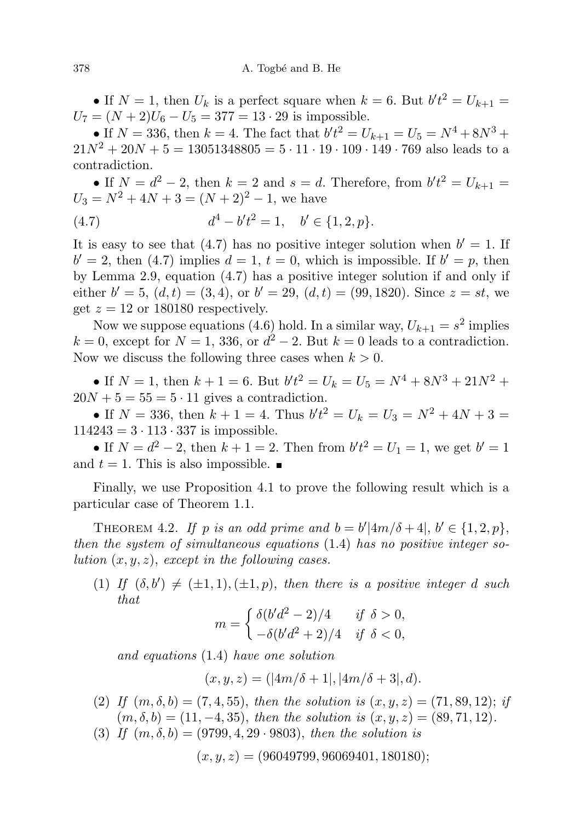• If  $N = 1$ , then  $U_k$  is a perfect square when  $k = 6$ . But  $b't^2 = U_{k+1}$  $U_7 = (N + 2)U_6 - U_5 = 377 = 13 \cdot 29$  is impossible.

• If  $N = 336$ , then  $k = 4$ . The fact that  $b't^2 = U_{k+1} = U_5 = N^4 + 8N^3 +$  $21N^2 + 20N + 5 = 13051348805 = 5 \cdot 11 \cdot 19 \cdot 109 \cdot 149 \cdot 769$  also leads to a contradiction.

• If  $N = d^2 - 2$ , then  $k = 2$  and  $s = d$ . Therefore, from  $b't^2 = U_{k+1}$  $U_3 = N^2 + 4N + 3 = (N + 2)^2 - 1$ , we have

(4.7) 
$$
d^4 - b't^2 = 1, \quad b' \in \{1, 2, p\}.
$$

It is easy to see that (4.7) has no positive integer solution when  $b' = 1$ . If  $b' = 2$ , then (4.7) implies  $d = 1$ ,  $t = 0$ , which is impossible. If  $b' = p$ , then by Lemma 2.9, equation (4.7) has a positive integer solution if and only if either  $b' = 5$ ,  $(d, t) = (3, 4)$ , or  $b' = 29$ ,  $(d, t) = (99, 1820)$ . Since  $z = st$ , we get  $z = 12$  or 180180 respectively.

Now we suppose equations (4.6) hold. In a similar way,  $U_{k+1} = s^2$  implies  $k = 0$ , except for  $N = 1$ , 336, or  $d^2 - 2$ . But  $k = 0$  leads to a contradiction. Now we discuss the following three cases when  $k > 0$ .

• If  $N = 1$ , then  $k + 1 = 6$ . But  $b't^2 = U_k = U_5 = N^4 + 8N^3 + 21N^2 +$  $20N + 5 = 55 = 5 \cdot 11$  gives a contradiction.

• If  $N = 336$ , then  $k + 1 = 4$ . Thus  $b't^2 = U_k = U_3 = N^2 + 4N + 3 =$  $114243 = 3 \cdot 113 \cdot 337$  is impossible.

• If  $N = d^2 - 2$ , then  $k + 1 = 2$ . Then from  $b't^2 = U_1 = 1$ , we get  $b' = 1$ and  $t = 1$ . This is also impossible.

Finally, we use Proposition 4.1 to prove the following result which is a particular case of Theorem 1.1.

THEOREM 4.2. If p is an odd prime and  $b = b'|4m/\delta + 4|, b' \in \{1, 2, p\},\$ then the system of simultaneous equations (1.4) has no positive integer solution  $(x, y, z)$ , except in the following cases.

(1) If  $(\delta, b') \neq (\pm 1, 1), (\pm 1, p)$ , then there is a positive integer d such that

$$
m = \begin{cases} \delta(b'd^2 - 2)/4 & \text{if } \delta > 0, \\ -\delta(b'd^2 + 2)/4 & \text{if } \delta < 0, \end{cases}
$$

and equations (1.4) have one solution

 $(x, y, z) = (|4m/\delta + 1|, |4m/\delta + 3|, d).$ 

- (2) If  $(m, \delta, b) = (7, 4, 55)$ , then the solution is  $(x, y, z) = (71, 89, 12)$ ; if  $(m, \delta, b) = (11, -4, 35),$  then the solution is  $(x, y, z) = (89, 71, 12).$
- (3) If  $(m, \delta, b) = (9799, 4, 29 \cdot 9803)$ , then the solution is

$$
(x, y, z) = (96049799, 96069401, 180180);
$$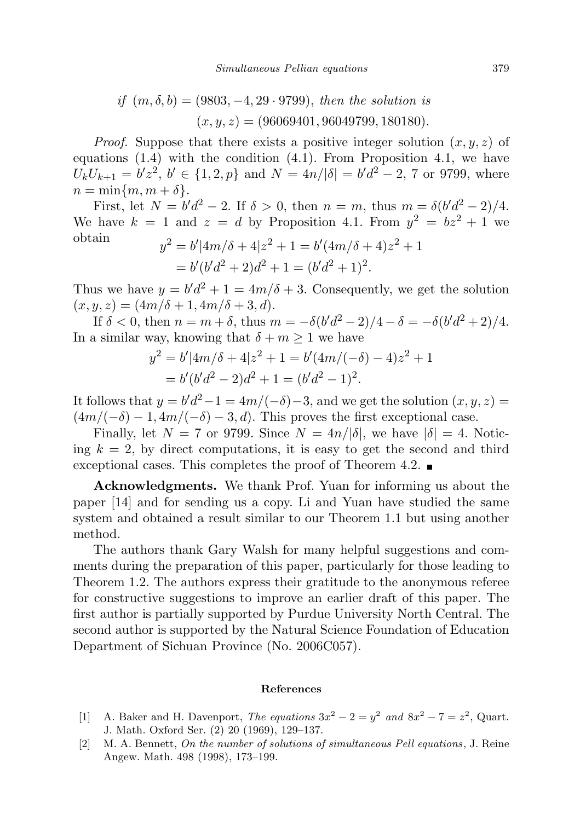if 
$$
(m, \delta, b) = (9803, -4, 29 \cdot 9799)
$$
, then the solution is  
 $(x, y, z) = (96069401, 96049799, 180180)$ .

*Proof.* Suppose that there exists a positive integer solution  $(x, y, z)$  of equations  $(1.4)$  with the condition  $(4.1)$ . From Proposition 4.1, we have  $U_k U_{k+1} = b' z^2$ ,  $b' \in \{1, 2, p\}$  and  $N = 4n/|\delta| = b' d^2 - 2$ , 7 or 9799, where  $n = \min\{m, m + \delta\}.$ 

First, let  $N = b'd^2 - 2$ . If  $\delta > 0$ , then  $n = m$ , thus  $m = \delta(b'd^2 - 2)/4$ . We have  $k = 1$  and  $z = d$  by Proposition 4.1. From  $y^2 = bz^2 + 1$  we obtain  $\overline{a}$  $\overline{a}$ 

$$
y^{2} = b'|4m/\delta + 4|z^{2} + 1 = b'(4m/\delta + 4)z^{2} + 1
$$
  
=  $b'(b'd^{2} + 2)d^{2} + 1 = (b'd^{2} + 1)^{2}$ .

Thus we have  $y = b'd^2 + 1 = 4m/\delta + 3$ . Consequently, we get the solution  $(x, y, z) = (4m/\delta + 1, 4m/\delta + 3, d).$ 

If  $\delta < 0$ , then  $n = m + \delta$ , thus  $m = -\delta(b'd^2 - 2)/4 - \delta = -\delta(b'd^2 + 2)/4$ . In a similar way, knowing that  $\delta + m \ge 1$  we have

$$
y^{2} = b'|4m/\delta + 4|z^{2} + 1 = b'(4m/(-\delta) - 4)z^{2} + 1
$$
  
=  $b'(b'd^{2} - 2)d^{2} + 1 = (b'd^{2} - 1)^{2}$ .

It follows that  $y = b'd^2 - 1 = 4m/(-\delta) - 3$ , and we get the solution  $(x, y, z) =$  $(4m/(-\delta) - 1, 4m/(-\delta) - 3, d)$ . This proves the first exceptional case.

Finally, let  $N = 7$  or 9799. Since  $N = 4n/|\delta|$ , we have  $|\delta| = 4$ . Noticing  $k = 2$ , by direct computations, it is easy to get the second and third exceptional cases. This completes the proof of Theorem 4.2.

Acknowledgments. We thank Prof. Yuan for informing us about the paper [14] and for sending us a copy. Li and Yuan have studied the same system and obtained a result similar to our Theorem 1.1 but using another method.

The authors thank Gary Walsh for many helpful suggestions and comments during the preparation of this paper, particularly for those leading to Theorem 1.2. The authors express their gratitude to the anonymous referee for constructive suggestions to improve an earlier draft of this paper. The first author is partially supported by Purdue University North Central. The second author is supported by the Natural Science Foundation of Education Department of Sichuan Province (No. 2006C057).

## References

- [1] A. Baker and H. Davenport, The equations  $3x^2 2 = y^2$  and  $8x^2 7 = z^2$ , Quart. J. Math. Oxford Ser. (2) 20 (1969), 129–137.
- [2] M. A. Bennett, On the number of solutions of simultaneous Pell equations , J. Reine Angew. Math. 498 (1998), 173–199.